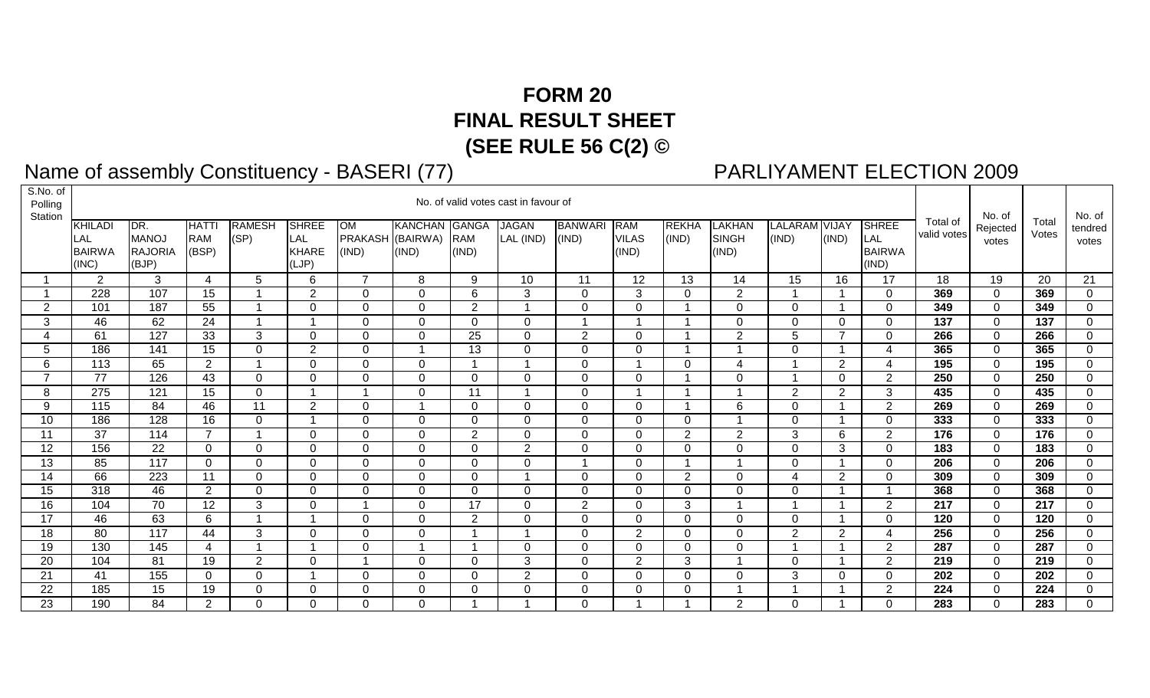## **FORM 20 FINAL RESULT SHEET (SEE RULE 56 C(2) ©**

## **Name of assembly Constituency - BASERI (77)**<br>s.no. of l

## PARLIYAMENT ELECTION 2009

| S.NO. OT<br>Polling<br>Station |                                          |                                                |                                     |                       |                                              |                                 |                         |                                     | No. of valid votes cast in favour of |                         |                              |                       |                                        |                         |                |                                               |                         | No. of            |                  | No. of           |
|--------------------------------|------------------------------------------|------------------------------------------------|-------------------------------------|-----------------------|----------------------------------------------|---------------------------------|-------------------------|-------------------------------------|--------------------------------------|-------------------------|------------------------------|-----------------------|----------------------------------------|-------------------------|----------------|-----------------------------------------------|-------------------------|-------------------|------------------|------------------|
|                                | KHILADI<br>LAL<br><b>BAIRWA</b><br>(INC) | DR.<br><b>MANOJ</b><br><b>RAJORIA</b><br>(BJP) | <b>HATTI</b><br><b>RAM</b><br>(BSP) | <b>RAMESH</b><br>(SP) | <b>SHREE</b><br>LAL<br><b>KHARE</b><br>(LJP) | OM<br>PRAKASH (BAIRWA)<br>(IND) | <b>KANCHAN</b><br>(IND) | <b>GANGA</b><br><b>RAM</b><br>(IND) | <b>JAGAN</b><br>LAL (IND)            | <b>BANWARI</b><br>(IND) | RAM<br><b>VILAS</b><br>(IND) | <b>REKHA</b><br>(IND) | <b>LAKHAN</b><br><b>SINGH</b><br>(IND) | LALARAM VIJAY<br>(IND)  | (IND)          | <b>SHREE</b><br>LAL<br><b>BAIRWA</b><br>(IND) | Total of<br>valid votes | Rejected<br>votes | Total<br>Votes   | tendred<br>votes |
|                                | $\mathbf{2}$                             | 3                                              | $\overline{4}$                      | 5                     | 6                                            | $\overline{7}$                  | 8                       | 9                                   | 10                                   | 11                      | 12                           | 13                    | 14                                     | 15                      | 16             | 17                                            | 18                      | 19                | 20               | 21               |
|                                | 228                                      | 107                                            | 15                                  |                       | $\overline{2}$                               | $\mathbf 0$                     | 0                       | 6                                   | 3                                    | $\overline{0}$          | 3                            | 0                     | $\overline{2}$                         |                         | -1             | 0                                             | 369                     | $\Omega$          | 369              | $\mathbf 0$      |
| $\overline{2}$                 | 101                                      | 187                                            | $\overline{55}$                     |                       | $\Omega$                                     | $\Omega$                        | $\Omega$                | 2                                   | -4                                   | $\Omega$                | $\Omega$                     |                       | $\Omega$                               | $\Omega$                | -1             | $\Omega$                                      | 349                     | $\Omega$          | 349              | $\Omega$         |
| 3                              | 46                                       | 62                                             | 24                                  |                       |                                              | $\Omega$                        | $\Omega$                | $\mathbf 0$                         | $\Omega$                             |                         |                              |                       | $\Omega$                               | $\Omega$                | $\Omega$       | $\Omega$                                      | 137                     | $\Omega$          | 137              | $\Omega$         |
|                                | 61                                       | 127                                            | 33                                  | $\mathbf{3}$          | $\Omega$                                     | $\Omega$                        | $\Omega$                | 25                                  | $\Omega$                             | 2                       | $\Omega$                     |                       | 2                                      | 5                       | $\overline{7}$ | $\Omega$                                      | 266                     | $\Omega$          | 266              | $\Omega$         |
| 5                              | 186                                      | 141                                            | 15                                  | $\mathbf 0$           | $\overline{2}$                               | $\Omega$                        |                         | 13                                  | $\Omega$                             | $\Omega$                | $\Omega$                     |                       | -1                                     | $\Omega$                | -1             | 4                                             | 365                     | $\Omega$          | 365              | $\overline{0}$   |
| 6                              | 113                                      | 65                                             | $\overline{2}$                      | $\overline{ }$        | $\Omega$                                     | $\Omega$                        | $\Omega$                |                                     | -4                                   | $\Omega$                |                              | $\Omega$              | 4                                      |                         | 2              | $\boldsymbol{\Delta}$                         | 195                     | $\overline{0}$    | 195              | $\Omega$         |
| $\overline{ }$                 | 77                                       | 126                                            | 43                                  | $\mathbf 0$           | $\Omega$                                     | $\Omega$                        | $\Omega$                | $\Omega$                            | $\Omega$                             | $\Omega$                | $\Omega$                     |                       | $\Omega$                               |                         | $\Omega$       | $\overline{2}$                                | 250                     | $\Omega$          | 250              | $\Omega$         |
| 8                              | $\overline{275}$                         | $\overline{121}$                               | $\overline{15}$                     | $\mathbf 0$           |                                              |                                 | 0                       | 11                                  |                                      | $\Omega$                |                              |                       | -1                                     | 2                       | 2              | 3                                             | 435                     | $\Omega$          | 435              | 0                |
| 9                              | 115                                      | 84                                             | 46                                  | $\overline{11}$       | $\overline{2}$                               | $\Omega$                        |                         | $\mathbf 0$                         | $\Omega$                             | $\Omega$                | $\Omega$                     |                       | 6                                      | $\Omega$                | -1             | $\overline{2}$                                | 269                     | $\Omega$          | 269              | $\Omega$         |
| 10                             | 186                                      | 128                                            | 16                                  | $\mathsf 0$           |                                              | $\Omega$                        | $\Omega$                | $\mathbf 0$                         | $\Omega$                             | $\Omega$                | $\mathbf 0$                  | $\mathbf 0$           | 1                                      | $\mathbf 0$             | -1             | 0                                             | 333                     | $\overline{0}$    | 333              | $\mathbf 0$      |
| 11                             | 37                                       | 114                                            | 7                                   |                       | $\Omega$                                     | $\Omega$                        | $\Omega$                | 2                                   | $\Omega$                             | $\Omega$                | $\Omega$                     | $\overline{2}$        | $\overline{2}$                         | 3                       | 6              | $\overline{2}$                                | 176                     | $\Omega$          | 176              | $\Omega$         |
| 12                             | 156                                      | 22                                             | $\overline{0}$                      | $\mathbf 0$           | $\mathbf 0$                                  | $\Omega$                        | $\mathbf 0$             | $\mathbf 0$                         | $\overline{2}$                       | $\Omega$                | $\mathbf 0$                  | 0                     | $\mathbf 0$                            | $\mathbf 0$             | 3              | $\mathbf 0$                                   | 183                     | $\Omega$          | 183              | $\mathbf 0$      |
| 13                             | 85                                       | 117                                            | $\Omega$                            | $\mathbf 0$           | $\Omega$                                     | $\Omega$                        | $\Omega$                | $\overline{0}$                      | $\Omega$                             |                         | $\Omega$                     |                       |                                        | $\Omega$                | -1             | $\Omega$                                      | 206                     | $\Omega$          | 206              | $\Omega$         |
| $\overline{14}$                | 66                                       | $\overline{223}$                               | 11                                  | $\overline{0}$        | $\mathbf 0$                                  | $\Omega$                        | $\Omega$                | $\overline{0}$                      | -4                                   | $\Omega$                | $\mathbf 0$                  | $\overline{2}$        | $\Omega$                               | $\overline{\mathbf{4}}$ | 2              | $\Omega$                                      | 309                     | $\overline{0}$    | 309              | $\Omega$         |
| 15                             | 318                                      | 46                                             | $\overline{2}$                      | $\mathbf 0$           | 0                                            | 0                               | 0                       | $\mathbf 0$                         | 0                                    | 0                       | $\Omega$                     | 0                     | $\Omega$                               | $\Omega$                | -1             |                                               | 368                     | $\Omega$          | 368              | 0                |
| $\overline{16}$                | 104                                      | 70                                             | 12                                  | $\overline{3}$        | $\mathbf 0$                                  |                                 | $\Omega$                | $\overline{17}$                     | $\Omega$                             | 2                       | $\mathbf 0$                  | 3                     | 1                                      |                         | -1             | $\overline{2}$                                | 217                     | $\Omega$          | $\overline{217}$ | $\Omega$         |
| 17                             | 46                                       | 63                                             | 6                                   | $\overline{1}$        |                                              | $\mathbf 0$                     | 0                       | 2                                   | 0                                    | 0                       | $\Omega$                     | $\Omega$              | $\Omega$                               | $\Omega$                | 1              | 0                                             | 120                     | 0                 | 120              | 0                |
| $\overline{18}$                | $\overline{80}$                          | $\overline{117}$                               | 44                                  | 3                     | $\Omega$                                     | $\Omega$                        | $\Omega$                | $\overline{1}$                      | -4                                   | $\Omega$                | $\overline{2}$               | $\Omega$              | $\Omega$                               | 2                       | $\overline{2}$ | $\overline{4}$                                | 256                     | $\overline{0}$    | 256              | 0                |
| 19                             | 130                                      | 145                                            | 4                                   | $\overline{1}$        |                                              | $\Omega$                        | -1                      | $\overline{\mathbf{1}}$             | $\Omega$                             | $\Omega$                | $\mathbf 0$                  | $\Omega$              | $\Omega$                               |                         | -1             | $\overline{2}$                                | 287                     | $\Omega$          | 287              | $\Omega$         |
| 20                             | 104                                      | 81                                             | 19                                  | 2                     | $\mathbf 0$                                  |                                 | $\Omega$                | $\overline{0}$                      | 3                                    | $\mathbf{0}$            | 2                            | 3                     | 1                                      | $\mathbf 0$             | -1             | 2                                             | 219                     | $\overline{0}$    | 219              | $\Omega$         |
| 21                             | 41                                       | 155                                            | $\mathbf 0$                         | $\mathbf 0$           |                                              | $\Omega$                        | $\Omega$                | $\mathbf 0$                         | $\mathbf{2}$                         | $\Omega$                | $\Omega$                     | $\Omega$              | $\Omega$                               | 3                       | $\Omega$       | $\Omega$                                      | 202                     | $\overline{0}$    | 202              | $\Omega$         |
| 22                             | 185                                      | 15                                             | 19                                  | $\mathbf 0$           | 0                                            | $\Omega$                        | 0                       | $\mathbf 0$                         | $\Omega$                             | 0                       | $\mathbf 0$                  | 0                     | 1                                      |                         | $\overline{1}$ | 2                                             | 224                     | $\overline{0}$    | 224              | $\mathbf 0$      |
| 23                             | 190                                      | 84                                             | $\overline{2}$                      | $\mathbf 0$           | $\mathbf 0$                                  | $\Omega$                        | 0                       |                                     |                                      | $\Omega$                |                              |                       | 2                                      | $\Omega$                | -1             | $\Omega$                                      | 283                     | $\Omega$          | 283              | $\Omega$         |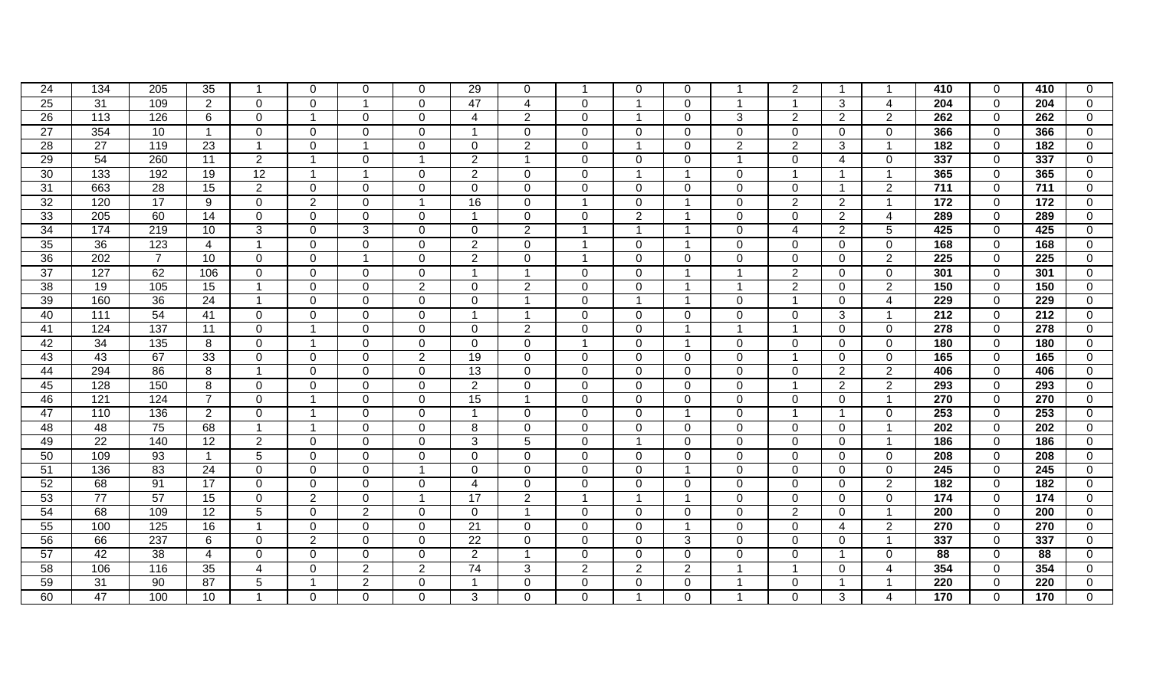| 24              | 134              | 205             | 35              |                         | 0                       | 0              | $\Omega$                 | 29              | $\Omega$        |                | $\Omega$                | $\Omega$       |                | $\overline{2}$ | -1             |                         | 410              | $\Omega$       | 410              | 0              |
|-----------------|------------------|-----------------|-----------------|-------------------------|-------------------------|----------------|--------------------------|-----------------|-----------------|----------------|-------------------------|----------------|----------------|----------------|----------------|-------------------------|------------------|----------------|------------------|----------------|
| 25              | $\overline{31}$  | 109             | 2               | $\Omega$                | $\mathbf 0$             |                | $\Omega$                 | 47              | $\overline{4}$  | $\mathbf{0}$   | $\overline{\mathbf{1}}$ | $\Omega$       | -1             | $\mathbf{1}$   | 3              | $\overline{4}$          | $\overline{204}$ | $\overline{0}$ | $\overline{204}$ | $\mathbf 0$    |
| $\overline{26}$ | 113              | 126             | 6               | $\overline{0}$          | $\overline{1}$          | $\mathbf 0$    | $\mathbf 0$              | $\overline{4}$  | $\overline{2}$  | $\overline{0}$ | $\overline{\mathbf{1}}$ | $\mathbf{0}$   | 3              | $\overline{2}$ | 2              | $\overline{2}$          | 262              | $\overline{0}$ | 262              | $\mathbf 0$    |
| $\overline{27}$ | 354              | 10              | $\mathbf{1}$    | $\mathbf 0$             | $\mathbf 0$             | $\mathbf 0$    | $\Omega$                 | $\overline{1}$  | $\mathbf{0}$    | $\mathbf{0}$   | $\mathbf 0$             | $\Omega$       | $\mathbf 0$    | $\mathbf 0$    | $\Omega$       | $\mathbf 0$             | 366              | $\overline{0}$ | 366              | $\overline{0}$ |
| 28              | 27               | 119             | $\overline{23}$ | $\overline{\mathbf{1}}$ | $\mathbf 0$             |                | $\Omega$                 | $\mathbf 0$     | $\overline{2}$  | $\overline{0}$ | $\overline{\mathbf{1}}$ | $\Omega$       | $\overline{2}$ | $\overline{2}$ | 3              | $\overline{\mathbf{1}}$ | 182              | $\overline{0}$ | $\overline{182}$ | $\overline{0}$ |
| 29              | 54               | 260             | 11              | 2                       | $\overline{1}$          | $\Omega$       | -1                       | 2               | $\overline{1}$  | $\mathbf{0}$   | $\Omega$                | $\Omega$       | $\overline{1}$ | $\mathbf 0$    | $\overline{4}$ | $\Omega$                | 337              | $\Omega$       | 337              | $\mathbf 0$    |
| 30              | 133              | 192             | 19              | 12                      | $\overline{1}$          | -1             | $\Omega$                 | 2               | $\Omega$        | $\mathbf{0}$   | $\overline{\mathbf{1}}$ | -1             | $\Omega$       | $\overline{1}$ | $\overline{1}$ | -1                      | 365              | $\Omega$       | 365              | $\mathbf 0$    |
| 31              | 663              | $\overline{28}$ | 15              | $\overline{2}$          | $\Omega$                | 0              | $\Omega$                 | $\Omega$        | $\mathbf{0}$    | $\mathbf{0}$   | $\Omega$                | $\Omega$       | $\overline{0}$ | $\mathbf 0$    | $\overline{1}$ | $\overline{2}$          | $\overline{711}$ | $\Omega$       | 711              | $\mathbf 0$    |
| 32              | 120              | 17              | 9               | $\mathbf 0$             | $\overline{2}$          | 0              | $\overline{\phantom{a}}$ | 16              | $\mathbf 0$     |                | $\Omega$                | 1              | $\mathbf 0$    | $\overline{2}$ | $\overline{2}$ | -1                      | $\overline{172}$ | $\overline{0}$ | $\overline{172}$ | $\mathbf 0$    |
| 33              | 205              | 60              | $\overline{14}$ | $\mathbf 0$             | $\mathbf 0$             | $\mathbf 0$    | $\mathbf 0$              | $\overline{1}$  | $\mathbf 0$     | $\mathbf 0$    | $\overline{2}$          | -1             | $\overline{0}$ | $\overline{0}$ | $\overline{2}$ | $\overline{4}$          | 289              | $\overline{0}$ | 289              | $\mathbf 0$    |
| 34              | 174              | 219             | 10              | 3                       | $\mathbf 0$             | 3              | $\overline{0}$           | $\mathbf 0$     | $\overline{2}$  |                | $\overline{1}$          | -1             | $\mathbf 0$    | $\overline{4}$ | $\overline{2}$ | 5                       | 425              | $\overline{0}$ | 425              | $\mathbf 0$    |
| 35              | 36               | 123             | $\overline{4}$  | $\overline{\mathbf{A}}$ | $\mathbf 0$             | $\mathbf 0$    | $\Omega$                 | 2               | $\mathbf{0}$    |                | $\mathbf 0$             | -1             | $\mathbf 0$    | $\mathbf 0$    | $\mathbf{0}$   | $\Omega$                | 168              | $\mathbf 0$    | 168              | $\overline{0}$ |
| 36              | $\overline{202}$ | $\overline{7}$  | 10              | $\overline{0}$          | $\mathbf 0$             |                | $\Omega$                 | 2               | $\Omega$        | $\overline{ }$ | $\Omega$                | $\Omega$       | $\overline{0}$ | $\mathbf 0$    | $\Omega$       | 2                       | 225              | $\Omega$       | 225              | $\mathbf 0$    |
| $\overline{37}$ | $\overline{127}$ | 62              | 106             | $\mathbf 0$             | $\mathbf 0$             | $\Omega$       | $\Omega$                 | $\overline{1}$  | $\overline{1}$  | $\mathbf 0$    | $\Omega$                | -1             | 1              | $\overline{2}$ | $\Omega$       | $\Omega$                | 301              | $\mathbf{0}$   | 301              | $\mathbf 0$    |
| 38              | 19               | 105             | 15              | $\overline{\mathbf{A}}$ | $\Omega$                | 0              | $\overline{2}$           | $\Omega$        | 2               | $\overline{0}$ | $\Omega$                | -1             | $\overline{1}$ | $\overline{2}$ | $\Omega$       | $\overline{2}$          | 150              | $\Omega$       | 150              | $\overline{0}$ |
| 39              | 160              | $\overline{36}$ | $\overline{24}$ | $\overline{\mathbf{1}}$ | $\mathbf 0$             | 0              | $\Omega$                 | $\Omega$        | $\overline{1}$  | $\overline{0}$ | $\overline{\mathbf{1}}$ | -1             | $\mathbf 0$    | $\overline{1}$ | $\Omega$       | $\overline{4}$          | 229              | $\Omega$       | 229              | $\mathbf 0$    |
| 40              | $\overline{111}$ | 54              | 41              | $\mathbf 0$             | $\mathbf 0$             | $\mathbf 0$    | $\overline{0}$           | $\overline{1}$  |                 | $\overline{0}$ | $\mathbf 0$             | $\mathbf{0}$   | $\mathbf 0$    | $\mathbf 0$    | 3              | -1                      | $\overline{212}$ | $\overline{0}$ | $\overline{212}$ | $\overline{0}$ |
| 41              | 124              | 137             | 11              | $\mathbf 0$             | -1                      | $\mathbf 0$    | $\Omega$                 | $\mathbf 0$     | 2               | $\mathbf 0$    | $\mathbf 0$             | -1             | 1              | $\overline{1}$ | $\mathbf 0$    | $\Omega$                | $\overline{278}$ | $\mathbf 0$    | 278              | $\overline{0}$ |
| 42              | 34               | 135             | 8               | $\mathbf 0$             | -1                      | $\mathbf 0$    | $\Omega$                 | $\overline{0}$  | $\mathbf{0}$    |                | $\mathbf 0$             | -1             | $\mathbf 0$    | $\mathbf 0$    | $\mathbf 0$    | $\Omega$                | 180              | $\mathbf{0}$   | 180              | $\overline{0}$ |
| 43              | 43               | 67              | $\overline{33}$ | $\mathbf 0$             | $\mathbf 0$             | $\mathbf 0$    | $\overline{2}$           | $\overline{19}$ | $\Omega$        | $\mathbf 0$    | $\mathbf 0$             | $\Omega$       | $\mathbf 0$    | $\overline{1}$ | $\Omega$       | $\Omega$                | 165              | $\Omega$       | 165              | $\mathbf 0$    |
| 44              | 294              | 86              | 8               |                         | $\mathbf 0$             | $\mathbf 0$    | $\Omega$                 | 13              | $\Omega$        | $\mathbf 0$    | $\Omega$                | $\Omega$       | $\mathbf 0$    | $\mathbf 0$    | 2              | 2                       | 406              | $\Omega$       | 406              | $\mathbf 0$    |
| 45              | 128              | 150             | 8               | $\Omega$                | $\Omega$                | 0              | $\Omega$                 | $\overline{2}$  | $\mathbf{0}$    | $\overline{0}$ | $\Omega$                | $\Omega$       | $\mathbf 0$    | $\overline{1}$ | 2              | 2                       | 293              | $\Omega$       | 293              | $\mathbf 0$    |
| 46              | 121              | 124             | $\overline{7}$  | $\mathbf{0}$            | -1                      | 0              | $\Omega$                 | $\overline{15}$ |                 | $\overline{0}$ | $\Omega$                | $\Omega$       | $\mathbf 0$    | $\mathbf 0$    | $\Omega$       | $\overline{\mathbf{1}}$ | 270              | $\overline{0}$ | 270              | $\mathbf 0$    |
| 47              | 110              | 136             | $\overline{2}$  | $\mathbf 0$             | -1                      | $\mathbf 0$    | $\Omega$                 | $\overline{1}$  | $\mathbf{0}$    | $\overline{0}$ | $\mathbf 0$             | -1             | $\mathbf 0$    | $\overline{1}$ | $\overline{1}$ | $\mathbf 0$             | 253              | $\mathbf 0$    | 253              | $\mathbf 0$    |
| 48              | 48               | 75              | 68              |                         | $\overline{\mathbf{1}}$ | $\overline{0}$ | $\Omega$                 | 8               | $\mathbf{0}$    | $\overline{0}$ | $\mathbf 0$             | $\Omega$       | $\mathbf 0$    | $\mathbf 0$    | $\mathbf 0$    | -1                      | 202              | $\mathbf 0$    | 202              | $\overline{0}$ |
| 49              | $\overline{22}$  | 140             | 12              | $\overline{2}$          | $\mathbf 0$             | $\mathbf 0$    | $\Omega$                 | 3               | $5\overline{)}$ | $\overline{0}$ | $\overline{1}$          | $\mathbf{0}$   | $\mathbf 0$    | $\mathbf 0$    | $\mathbf 0$    | $\overline{1}$          | 186              | $\mathbf 0$    | 186              | $\overline{0}$ |
| 50              | 109              | 93              | $\overline{1}$  | 5                       | $\mathbf 0$             | $\Omega$       | $\Omega$                 | $\mathbf 0$     | $\Omega$        | $\mathbf{0}$   | $\Omega$                | $\Omega$       | $\Omega$       | $\mathbf 0$    | $\Omega$       | $\Omega$                | 208              | $\Omega$       | 208              | $\mathbf 0$    |
| $\overline{51}$ | 136              | 83              | $\overline{24}$ | $\mathbf 0$             | $\Omega$                | 0              | -1                       | $\Omega$        | $\Omega$        | $\Omega$       | $\Omega$                | -1             | $\mathbf 0$    | $\mathbf 0$    | $\Omega$       | $\Omega$                | $\overline{245}$ | $\Omega$       | 245              | $\overline{0}$ |
| 52              | 68               | 91              | 17              | $\mathbf 0$             | $\mathbf 0$             | 0              | $\Omega$                 | $\overline{4}$  | $\Omega$        | $\Omega$       | 0                       | $\Omega$       | $\mathbf 0$    | $\mathbf 0$    | $\overline{0}$ | $\overline{2}$          | 182              | $\mathbf 0$    | 182              | $\overline{0}$ |
| 53              | 77               | 57              | $\overline{15}$ | $\mathbf 0$             | $\overline{2}$          | $\overline{0}$ | -1                       | 17              | $\overline{2}$  |                | $\overline{1}$          | -1             | $\mathbf 0$    | $\mathbf 0$    | $\overline{0}$ | $\mathbf 0$             | 174              | $\mathbf 0$    | 174              | $\mathbf 0$    |
| 54              | 68               | 109             | $\overline{12}$ | $\overline{5}$          | $\overline{0}$          | $\overline{2}$ | $\Omega$                 | $\mathbf 0$     | $\overline{1}$  | $\mathbf{0}$   | $\mathbf{0}$            | $\Omega$       | $\mathbf 0$    | $\overline{2}$ | $\mathbf 0$    | $\overline{\mathbf{1}}$ | $\overline{200}$ | $\mathbf 0$    | 200              | $\overline{0}$ |
| 55              | 100              | 125             | 16              |                         | $\mathbf 0$             | $\mathbf 0$    | $\Omega$                 | $\overline{21}$ | $\mathbf{0}$    | $\overline{0}$ | 0                       | -1             | $\mathbf 0$    | $\mathbf 0$    | $\overline{4}$ | $\overline{2}$          | 270              | $\mathbf 0$    | 270              | $\overline{0}$ |
| 56              | 66               | 237             | 6               | $\mathbf 0$             | $\overline{2}$          | $\overline{0}$ | $\Omega$                 | $\overline{22}$ | $\mathbf{0}$    | $\overline{0}$ | $\mathbf 0$             | 3              | $\mathbf 0$    | $\mathbf 0$    | $\mathbf 0$    | $\overline{\mathbf{1}}$ | 337              | $\mathbf 0$    | 337              | $\overline{0}$ |
| 57              | 42               | $\overline{38}$ | $\overline{4}$  | $\Omega$                | $\mathbf 0$             | $\Omega$       | $\Omega$                 | 2               |                 | $\mathbf{0}$   | $\Omega$                | $\Omega$       | $\Omega$       | $\Omega$       | $\overline{1}$ | $\Omega$                | 88               | $\Omega$       | 88               | $\overline{0}$ |
| 58              | 106              | 116             | 35              | $\overline{4}$          | $\Omega$                | $\overline{2}$ | $\overline{2}$           | $\overline{74}$ | 3               | $\overline{2}$ | 2                       | $\overline{2}$ |                | -1             | $\Omega$       | $\boldsymbol{4}$        | 354              | $\Omega$       | 354              | $\overline{0}$ |
| 59              | 31               | 90              | 87              | 5                       | -1                      | $\overline{2}$ | $\Omega$                 | -1              | $\Omega$        | $\Omega$       | $\Omega$                | $\Omega$       |                | $\Omega$       | -1             | -1                      | 220              | $\Omega$       | 220              | $\overline{0}$ |
| 60              | 47               | 100             | 10              |                         | $\mathbf 0$             | $\overline{0}$ | $\Omega$                 | 3               | $\Omega$        | $\overline{0}$ | -1                      | $\Omega$       |                | $\mathbf 0$    | 3              | 4                       | 170              | $\Omega$       | 170              | $\overline{0}$ |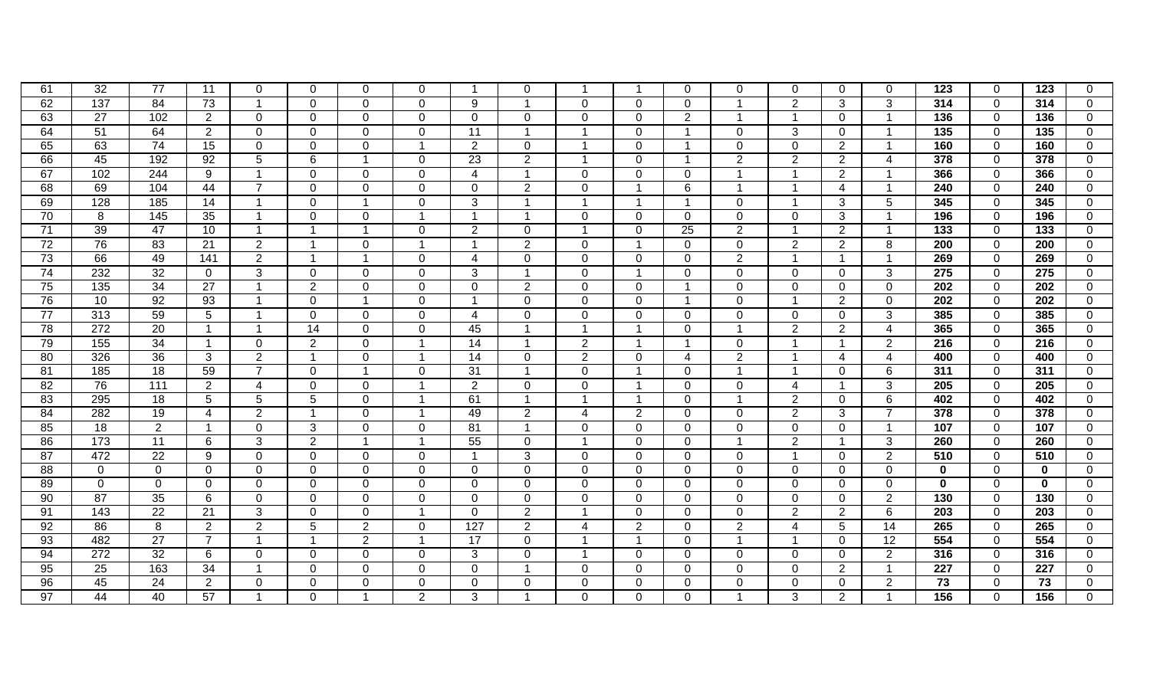| 61              | 32               | 77              | 11              | 0                       | $\Omega$                | 0              | $\Omega$       | -1              | $\Omega$                |                          | -1                       | $\Omega$                | $\overline{0}$          | 0              | $\Omega$        | 0                       | 123              | $\Omega$       | 123              | 0              |
|-----------------|------------------|-----------------|-----------------|-------------------------|-------------------------|----------------|----------------|-----------------|-------------------------|--------------------------|--------------------------|-------------------------|-------------------------|----------------|-----------------|-------------------------|------------------|----------------|------------------|----------------|
| 62              | $\overline{137}$ | 84              | 73              |                         | $\Omega$                | 0              | $\Omega$       | 9               | $\overline{\mathbf{1}}$ | $\mathbf{0}$             | $\Omega$                 | $\Omega$                |                         | $\overline{2}$ | 3               | 3                       | 314              | $\Omega$       | 314              | $\mathbf 0$    |
| 63              | 27               | 102             | $\overline{2}$  | $\overline{0}$          | $\mathbf 0$             | $\mathbf 0$    | $\Omega$       | $\mathbf 0$     | $\mathbf{0}$            | $\mathbf 0$              | $\mathbf 0$              | $\overline{2}$          | -1                      | $\overline{1}$ | $\mathbf 0$     | $\overline{\mathbf{1}}$ | 136              | $\overline{0}$ | 136              | $\mathbf 0$    |
| 64              | 51               | 64              | $\overline{2}$  | $\mathbf 0$             | $\mathbf 0$             | $\mathbf 0$    | $\Omega$       | $\overline{11}$ | $\overline{1}$          |                          | $\mathbf 0$              | -1                      | $\mathbf 0$             | 3              | $\mathbf 0$     | $\overline{\mathbf{1}}$ | 135              | $\overline{0}$ | $\overline{135}$ | $\overline{0}$ |
| 65              | 63               | 74              | 15              | $\overline{0}$          | $\mathbf 0$             | $\mathbf 0$    | $\overline{1}$ | 2               | $\mathbf{0}$            |                          | $\mathbf 0$              | -1                      | $\overline{0}$          | $\mathbf 0$    | $\overline{2}$  | $\overline{\mathbf{1}}$ | 160              | $\overline{0}$ | 160              | $\overline{0}$ |
| 66              | 45               | 192             | $\overline{92}$ | 5                       | $\,6$                   |                | $\Omega$       | $\overline{23}$ | $\overline{2}$          |                          | $\mathbf 0$              | -1                      | $\overline{2}$          | $\overline{2}$ | $\overline{2}$  | $\overline{4}$          | 378              | $\overline{0}$ | 378              | $\overline{0}$ |
| 67              | 102              | 244             | 9               |                         | $\mathbf 0$             | 0              | $\Omega$       | $\overline{4}$  | $\overline{1}$          | $\mathbf 0$              | $\mathbf 0$              | $\Omega$                | 1                       | $\overline{1}$ | $\overline{2}$  | -1                      | 366              | $\mathbf 0$    | 366              | $\mathbf 0$    |
| 68              | 69               | 104             | 44              | $\overline{7}$          | $\mathbf 0$             | $\overline{0}$ | $\Omega$       | $\Omega$        | $\overline{2}$          | $\mathbf 0$              | $\overline{\mathbf{1}}$  | 6                       | $\overline{1}$          | $\overline{1}$ | $\overline{4}$  | $\overline{\mathbf{1}}$ | 240              | $\mathbf 0$    | 240              | $\mathbf 0$    |
| 69              | 128              | 185             | 14              | $\overline{\mathbf{1}}$ | $\mathbf 0$             |                | $\Omega$       | 3               | $\overline{1}$          | $\overline{\mathbf{1}}$  | $\overline{1}$           | $\overline{\mathbf{1}}$ | $\mathbf 0$             | $\overline{1}$ | 3               | 5                       | 345              | $\overline{0}$ | 345              | $\mathbf 0$    |
| 70              | 8                | 145             | 35              | $\overline{\mathbf{1}}$ | $\Omega$                | 0              | -1             | $\overline{1}$  | $\overline{1}$          | $\mathbf 0$              | $\Omega$                 | $\Omega$                | $\mathbf 0$             | $\mathbf 0$    | 3               | $\overline{\mathbf{1}}$ | 196              | $\Omega$       | 196              | $\overline{0}$ |
| $\overline{71}$ | 39               | 47              | 10              | $\overline{\mathbf{1}}$ | -1                      |                | $\Omega$       | 2               | $\mathbf 0$             | $\overline{\phantom{a}}$ | $\Omega$                 | $\overline{25}$         | $\overline{2}$          | $\overline{1}$ | 2               | $\overline{\mathbf{1}}$ | $\overline{133}$ | $\Omega$       | $\overline{133}$ | $\mathbf 0$    |
| $\overline{72}$ | 76               | 83              | 21              | $\overline{2}$          | $\overline{\mathbf{1}}$ | $\mathbf 0$    | $\overline{ }$ | $\overline{1}$  | $\overline{2}$          | $\mathbf 0$              | $\overline{\mathbf{1}}$  | $\mathbf{0}$            | $\mathbf 0$             | $\overline{2}$ | 2               | 8                       | $\overline{200}$ | $\overline{0}$ | 200              | $\overline{0}$ |
| 73              | 66               | 49              | 141             | $\overline{2}$          | -1                      |                | $\mathbf{0}$   | $\overline{4}$  | $\mathbf{0}$            | $\mathbf{0}$             | $\mathbf 0$              | $\Omega$                | $\overline{2}$          | $\overline{1}$ | $\overline{1}$  | $\overline{\mathbf{1}}$ | 269              | $\mathbf 0$    | 269              | $\overline{0}$ |
| 74              | 232              | $\overline{32}$ | $\overline{0}$  | 3                       | $\mathbf 0$             | $\mathbf 0$    | $\Omega$       | 3               |                         | $\mathbf 0$              | $\overline{\mathbf{1}}$  | $\mathbf{0}$            | $\mathbf 0$             | $\mathbf 0$    | $\mathbf 0$     | 3                       | $\overline{275}$ | $\mathbf 0$    | 275              | $\overline{0}$ |
| 75              | 135              | $\overline{34}$ | $\overline{27}$ |                         | $\overline{2}$          | $\mathbf 0$    | $\Omega$       | $\mathbf 0$     | $\overline{2}$          | $\overline{0}$           | $\mathbf 0$              | $\overline{\mathbf{1}}$ | $\mathbf 0$             | $\mathbf 0$    | $\Omega$        | $\mathbf 0$             | 202              | $\mathbf 0$    | 202              | $\overline{0}$ |
| 76              | 10               | 92              | 93              |                         | $\mathbf 0$             |                | $\Omega$       | $\overline{1}$  | $\mathbf{0}$            | $\mathbf{0}$             | $\Omega$                 | -1                      | $\overline{0}$          |                | 2               | $\Omega$                | 202              | $\mathbf 0$    | 202              | $\mathbf 0$    |
| $\overline{77}$ | 313              | 59              | 5               |                         | $\mathbf 0$             | $\overline{0}$ | $\Omega$       | $\overline{4}$  | $\Omega$                | $\mathbf 0$              | $\mathbf 0$              | $\Omega$                | $\mathbf 0$             | $\mathbf 0$    | $\Omega$        | 3                       | 385              | $\mathbf 0$    | 385              | $\mathbf 0$    |
| 78              | 272              | $\overline{20}$ | $\overline{1}$  |                         | $\overline{14}$         | $\mathbf 0$    | $\Omega$       | 45              |                         |                          | $\overline{\phantom{0}}$ | $\Omega$                | $\overline{\mathbf{A}}$ | 2              | 2               | $\overline{4}$          | 365              | $\overline{0}$ | 365              | $\mathbf 0$    |
| 79              | 155              | 34              | $\overline{1}$  | $\Omega$                | 2                       | 0              |                | 14              |                         | $\overline{2}$           | $\overline{\phantom{0}}$ | -1                      | $\mathbf 0$             | $\overline{1}$ | $\overline{1}$  | $\overline{2}$          | 216              | $\Omega$       | 216              | $\overline{0}$ |
| 80              | 326              | 36              | 3               | 2                       | $\overline{1}$          | $\mathbf 0$    |                | $\overline{14}$ | $\mathbf{0}$            | $\overline{2}$           | $\mathbf 0$              | 4                       | $\overline{2}$          | -1             | $\overline{4}$  | $\overline{4}$          | 400              | $\mathbf 0$    | 400              | $\overline{0}$ |
| $\overline{81}$ | 185              | 18              | 59              | $\overline{7}$          | $\mathbf 0$             |                | $\Omega$       | $\overline{31}$ | $\overline{ }$          | $\overline{0}$           | $\overline{\mathbf{1}}$  | $\mathbf{0}$            | 1                       |                | $\mathbf 0$     | 6                       | $\overline{311}$ | $\mathbf 0$    | 311              | $\mathbf 0$    |
| 82              | 76               | 111             | $\overline{2}$  | $\overline{4}$          | $\mathbf 0$             | $\mathbf 0$    |                | 2               | $\mathbf{0}$            | $\overline{0}$           | $\overline{\mathbf{1}}$  | $\Omega$                | $\mathbf 0$             | $\overline{4}$ | $\overline{1}$  | 3                       | 205              | $\mathbf 0$    | 205              | $\overline{0}$ |
| 83              | 295              | 18              | 5               | 5                       | $5\phantom{.0}$         | $\overline{0}$ | -1             | 61              | $\overline{1}$          |                          | $\overline{1}$           | $\Omega$                | 1                       | 2              | $\mathbf 0$     | 6                       | 402              | $\mathbf 0$    | 402              | $\overline{0}$ |
| 84              | 282              | 19              | $\overline{4}$  | $\overline{2}$          | $\overline{1}$          | $\overline{0}$ | -1             | 49              | $\overline{2}$          | 4                        | 2                        | $\Omega$                | $\mathbf 0$             | 2              | 3               | $\overline{7}$          | 378              | $\mathbf 0$    | 378              | $\overline{0}$ |
| 85              | $\overline{18}$  | $\overline{2}$  | $\mathbf{1}$    | $\Omega$                | 3                       | $\Omega$       | $\Omega$       | 81              | $\overline{1}$          | $\Omega$                 | $\Omega$                 | $\Omega$                | $\Omega$                | $\mathbf 0$    | $\Omega$        | -1                      | 107              | $\Omega$       | 107              | $\overline{0}$ |
| 86              | 173              | 11              | 6               | 3                       | $\overline{2}$          |                | -1             | 55              | $\Omega$                |                          | $\Omega$                 | $\Omega$                | 1                       | 2              | $\overline{1}$  | 3                       | 260              | $\Omega$       | 260              | $\overline{0}$ |
| 87              | 472              | 22              | 9               | $\Omega$                | $\mathbf 0$             | $\Omega$       | $\Omega$       | $\mathbf 1$     | 3                       | $\Omega$                 | $\Omega$                 | $\Omega$                | $\mathbf 0$             | $\overline{1}$ | $\Omega$        | 2                       | 510              | $\Omega$       | 510              | $\overline{0}$ |
| 88              | $\mathbf 0$      | $\Omega$        | $\overline{0}$  | $\mathbf 0$             | $\mathbf 0$             | 0              | $\Omega$       | $\Omega$        | $\overline{0}$          | $\Omega$                 | $\Omega$                 | $\Omega$                | $\mathbf 0$             | $\mathbf 0$    | $\overline{0}$  | $\Omega$                | $\mathbf{0}$     | $\Omega$       | $\bf{0}$         | $\overline{0}$ |
| 89              | $\overline{0}$   | $\Omega$        | $\Omega$        | $\mathbf 0$             | $\mathbf 0$             | $\overline{0}$ | $\Omega$       | $\mathbf 0$     | $\mathbf{0}$            | $\overline{0}$           | 0                        | $\Omega$                | $\mathbf 0$             | $\mathbf 0$    | $\mathbf 0$     | $\Omega$                | $\mathbf 0$      | $\Omega$       | $\mathbf 0$      | $\overline{0}$ |
| 90              | 87               | 35              | 6               | $\mathbf 0$             | $\mathbf 0$             | $\overline{0}$ | $\Omega$       | $\mathbf 0$     | $\mathbf{0}$            | $\Omega$                 | 0                        | $\Omega$                | $\mathbf 0$             | $\mathbf 0$    | $\mathbf 0$     | $\overline{2}$          | $\overline{130}$ | $\mathbf 0$    | 130              | $\overline{0}$ |
| 91              | 143              | $\overline{22}$ | $\overline{21}$ | 3                       | $\overline{0}$          | $\overline{0}$ |                | $\mathbf 0$     | $\overline{2}$          |                          | $\overline{0}$           | $\overline{0}$          | $\mathbf 0$             | 2              | $\overline{2}$  | $\overline{6}$          | $\overline{203}$ | $\mathbf 0$    | $\overline{203}$ | $\overline{0}$ |
| 92              | 86               | 8               | $\overline{2}$  | $\overline{2}$          | $\overline{5}$          | $\overline{2}$ | $\Omega$       | 127             | $\overline{2}$          | 4                        | $\overline{2}$           | $\overline{0}$          | 2                       | $\overline{4}$ | $5\phantom{.0}$ | $\overline{14}$         | 265              | $\mathbf 0$    | 265              | $\overline{0}$ |
| 93              | 482              | $\overline{27}$ | $\overline{7}$  |                         | $\overline{1}$          | $\overline{2}$ |                | $\overline{17}$ | $\Omega$                |                          | $\overline{1}$           | $\Omega$                | 1                       | -1             | $\Omega$        | 12                      | 554              | $\Omega$       | 554              | $\overline{0}$ |
| 94              | $\overline{272}$ | 32              | 6               | $\Omega$                | $\mathbf 0$             | $\Omega$       | $\Omega$       | 3               | $\Omega$                |                          | $\Omega$                 | $\Omega$                | $\Omega$                | $\Omega$       | $\Omega$        | $\overline{2}$          | 316              | $\Omega$       | 316              | $\overline{0}$ |
| 95              | $\overline{25}$  | 163             | 34              |                         | 0                       | $\Omega$       | $\Omega$       | $\Omega$        |                         | $\Omega$                 | $\Omega$                 | $\Omega$                | $\Omega$                | $\Omega$       | $\overline{2}$  | -1                      | 227              | $\Omega$       | 227              | $\overline{0}$ |
| 96              | 45               | 24              | $\overline{2}$  | $\Omega$                | 0                       | $\Omega$       | $\Omega$       | $\Omega$        | $\Omega$                | $\Omega$                 | $\Omega$                 | $\Omega$                | $\Omega$                | 0              | $\mathbf 0$     | $\overline{2}$          | 73               | $\Omega$       | $\overline{73}$  | $\overline{0}$ |
| 97              | 44               | 40              | 57              |                         | $\mathbf 0$             |                | $\overline{2}$ | 3               |                         | $\overline{0}$           | 0                        | $\Omega$                |                         | 3              | $\overline{2}$  | -1                      | 156              | $\Omega$       | 156              | $\mathbf 0$    |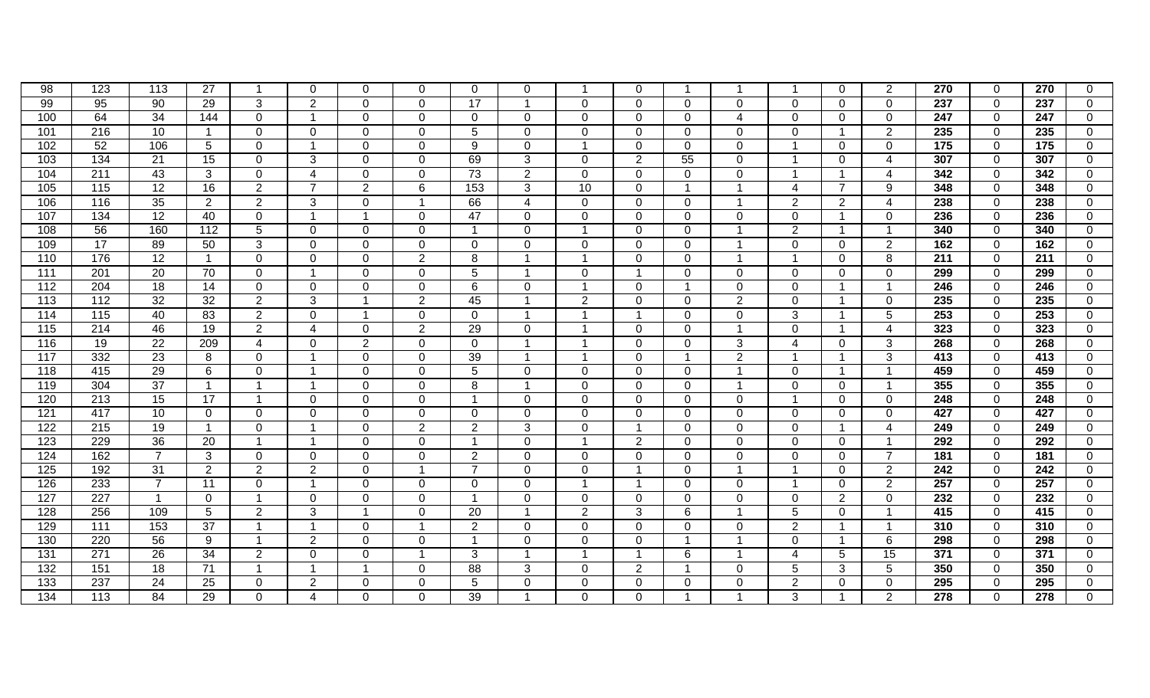| 98               | 123               | 113             | 27              |                 | 0              | 0              | $\Omega$                 | $\Omega$        | $\Omega$       |                          | 0                       |                |                         |                | $\mathbf 0$    | $\overline{2}$          | 270              | $\Omega$       | 270              | 0              |
|------------------|-------------------|-----------------|-----------------|-----------------|----------------|----------------|--------------------------|-----------------|----------------|--------------------------|-------------------------|----------------|-------------------------|----------------|----------------|-------------------------|------------------|----------------|------------------|----------------|
| 99               | 95                | $\overline{90}$ | $\overline{29}$ | 3               | $\overline{2}$ | $\Omega$       | $\Omega$                 | $\overline{17}$ | $\overline{1}$ | $\Omega$                 | $\mathbf 0$             | $\Omega$       | $\Omega$                | $\mathbf 0$    | $\Omega$       | $\Omega$                | $\overline{237}$ | $\overline{0}$ | $\overline{237}$ | $\mathbf 0$    |
| 100              | 64                | 34              | 144             | $\mathbf 0$     | $\overline{1}$ | $\mathbf 0$    | $\mathbf 0$              | $\mathbf 0$     | $\mathbf{0}$   | $\overline{0}$           | $\mathbf 0$             | $\mathbf{0}$   | $\overline{\mathbf{4}}$ | $\overline{0}$ | $\overline{0}$ | $\mathbf 0$             | 247              | $\overline{0}$ | 247              | $\mathbf 0$    |
| 101              | 216               | 10              | $\mathbf{1}$    | $\mathbf 0$     | $\mathbf 0$    | $\mathbf 0$    | $\Omega$                 | 5               | $\mathbf{0}$   | $\mathbf 0$              | $\mathbf 0$             | $\mathbf{0}$   | $\mathbf 0$             | $\mathbf 0$    | $\overline{1}$ | 2                       | 235              | $\overline{0}$ | 235              | $\mathbf 0$    |
| 102              | 52                | 106             | 5               | $\mathbf 0$     | $\overline{1}$ | 0              | $\Omega$                 | 9               | $\mathbf{0}$   | $\overline{\phantom{a}}$ | $\mathbf 0$             | $\Omega$       | $\mathbf 0$             | $\overline{1}$ | $\Omega$       | $\Omega$                | 175              | $\mathbf 0$    | $\overline{175}$ | $\overline{0}$ |
| 103              | 134               | $\overline{21}$ | $\overline{15}$ | $\Omega$        | 3              | $\Omega$       | $\Omega$                 | 69              | 3              | $\Omega$                 | 2                       | 55             | $\Omega$                | $\overline{1}$ | $\Omega$       | $\overline{4}$          | 307              | $\Omega$       | 307              | $\mathbf 0$    |
| 104              | $\overline{211}$  | 43              | 3               | $\Omega$        | $\overline{4}$ | $\Omega$       | $\Omega$                 | $\overline{73}$ | $\overline{2}$ | $\mathbf{0}$             | $\Omega$                | $\Omega$       | $\mathbf{0}$            | $\overline{1}$ | $\overline{1}$ | $\overline{4}$          | 342              | $\Omega$       | 342              | $\mathbf 0$    |
| 105              | $\overline{115}$  | 12              | 16              | $\overline{2}$  | $\overline{7}$ | $\overline{2}$ | 6                        | 153             | 3              | 10                       | $\Omega$                | -1             | 1                       | $\overline{4}$ | $\overline{7}$ | 9                       | 348              | $\Omega$       | 348              | $\mathbf 0$    |
| 106              | 116               | 35              | $\overline{2}$  | $\overline{2}$  | 3              | 0              | $\overline{\phantom{a}}$ | 66              | $\overline{4}$ | $\mathbf 0$              | $\Omega$                | $\Omega$       |                         | $\overline{2}$ | $\overline{2}$ | 4                       | $\overline{238}$ | $\Omega$       | 238              | $\mathbf 0$    |
| 107              | 134               | 12              | 40              | $\mathbf 0$     | $\overline{1}$ |                | $\mathbf 0$              | 47              | $\mathbf{0}$   | $\mathbf{0}$             | $\mathbf 0$             | $\overline{0}$ | $\mathbf 0$             | $\overline{0}$ | $\overline{1}$ | $\mathbf 0$             | 236              | $\overline{0}$ | 236              | $\mathbf 0$    |
| 108              | 56                | 160             | 112             | $5\phantom{.0}$ | $\mathbf 0$    | $\mathbf 0$    | $\overline{0}$           | $\overline{1}$  | $\mathbf{0}$   |                          | $\mathbf 0$             | $\mathbf{0}$   |                         | $\overline{2}$ | $\overline{1}$ | -1                      | 340              | $\overline{0}$ | 340              | $\overline{0}$ |
| 109              | $\overline{17}$   | 89              | 50              | 3               | $\mathbf 0$    | 0              | $\Omega$                 | $\Omega$        | $\mathbf{0}$   | $\mathbf 0$              | $\mathbf 0$             | $\mathbf{0}$   | -1                      | $\mathbf 0$    | $\mathbf{0}$   | $\overline{2}$          | 162              | $\mathbf 0$    | 162              | $\overline{0}$ |
| 110              | 176               | $\overline{12}$ | $\overline{1}$  | $\mathbf 0$     | $\Omega$       | $\mathbf 0$    | 2                        | 8               | $\overline{1}$ | $\overline{ }$           | $\Omega$                | $\Omega$       | $\overline{1}$          | $\mathbf{1}$   | $\Omega$       | 8                       | 211              | $\overline{0}$ | 211              | $\mathbf 0$    |
| $\overline{111}$ | $\overline{201}$  | 20              | 70              | $\mathbf 0$     | $\overline{1}$ | 0              | $\Omega$                 | 5               | $\overline{ }$ | $\mathbf 0$              | $\overline{\mathbf{1}}$ | $\Omega$       | $\Omega$                | $\mathbf 0$    | $\Omega$       | $\Omega$                | 299              | $\overline{0}$ | 299              | $\mathbf 0$    |
| $\overline{112}$ | 204               | $\overline{18}$ | 14              | $\mathbf 0$     | $\mathbf 0$    | 0              | $\Omega$                 | 6               | $\Omega$       | $\overline{\phantom{a}}$ | $\Omega$                | -1             | $\Omega$                | $\Omega$       | -1             | -1                      | 246              | $\Omega$       | 246              | $\mathbf 0$    |
| 113              | $\frac{11}{2}$    | 32              | $\overline{32}$ | $\overline{2}$  | $\mathbf{3}$   |                | $\overline{2}$           | 45              |                | 2                        | $\Omega$                | $\Omega$       | $\overline{2}$          | $\mathbf 0$    | -1             | $\Omega$                | 235              | $\Omega$       | 235              | $\mathbf 0$    |
| 114              | $\frac{115}{115}$ | 40              | 83              | $\overline{2}$  | $\overline{0}$ |                | $\overline{0}$           | $\mathbf 0$     |                |                          | $\overline{\mathbf{1}}$ | $\mathbf{0}$   | $\mathbf 0$             | 3              |                | 5                       | 253              | $\overline{0}$ | 253              | $\overline{0}$ |
| $\overline{115}$ | 214               | 46              | 19              | $\overline{2}$  | $\overline{4}$ | 0              | $\overline{2}$           | 29              | $\mathbf{0}$   |                          | $\mathbf 0$             | $\Omega$       |                         | $\mathbf 0$    |                | $\overline{\mathbf{4}}$ | 323              | $\mathbf 0$    | 323              | $\overline{0}$ |
| 116              | 19                | $\overline{22}$ | 209             | $\overline{4}$  | $\mathbf 0$    | $\overline{2}$ | $\Omega$                 | $\overline{0}$  |                |                          | $\mathbf 0$             | $\Omega$       | 3                       | $\overline{4}$ | $\Omega$       | 3                       | 268              | $\mathbf 0$    | 268              | $\mathbf 0$    |
| 117              | 332               | $\overline{23}$ | 8               | $\mathbf 0$     | -1             | $\mathbf 0$    | $\Omega$                 | 39              |                |                          | $\mathbf 0$             | -1             | $\overline{2}$          | $\overline{1}$ | -1             | 3                       | 413              | $\overline{0}$ | 413              | $\mathbf 0$    |
| $\overline{118}$ | 415               | 29              | 6               | $\mathbf 0$     | -1             | $\mathbf 0$    | $\Omega$                 | 5               | $\Omega$       | $\mathbf 0$              | $\Omega$                | $\Omega$       | -1                      | $\mathbf 0$    | $\overline{1}$ | -1                      | 459              | $\Omega$       | 459              | $\mathbf 0$    |
| 119              | 304               | $\overline{37}$ | $\overline{1}$  |                 | -1             | 0              | $\Omega$                 | 8               |                | $\mathbf{0}$             | $\Omega$                | $\Omega$       | -1                      | $\Omega$       | $\Omega$       | -1                      | 355              | $\Omega$       | 355              | $\mathbf 0$    |
| 120              | 213               | 15              | $\overline{17}$ |                 | $\mathbf 0$    | $\overline{0}$ | $\Omega$                 | $\overline{1}$  | $\mathbf{0}$   | $\mathbf{0}$             | $\Omega$                | $\Omega$       | $\mathbf 0$             | $\overline{1}$ | $\Omega$       | $\Omega$                | $\overline{248}$ | $\Omega$       | 248              | $\mathbf 0$    |
| 121              | 417               | 10              | $\mathbf 0$     | $\mathbf 0$     | $\mathbf 0$    | $\mathbf 0$    | $\Omega$                 | $\mathbf 0$     | $\mathbf{0}$   | $\mathbf{0}$             | $\mathbf 0$             | $\mathbf{0}$   | $\mathbf 0$             | $\mathbf 0$    | $\mathbf 0$    | $\Omega$                | 427              | $\overline{0}$ | 427              | $\mathbf 0$    |
| 122              | 215               | 19              | $\mathbf{1}$    | $\mathbf 0$     | -1             | $\mathbf 0$    | $\overline{2}$           | 2               | 3              | $\mathbf{0}$             | $\overline{\mathbf{1}}$ | $\Omega$       | $\mathbf 0$             | $\mathbf 0$    | $\overline{1}$ | $\overline{\mathbf{4}}$ | 249              | $\mathbf 0$    | 249              | $\overline{0}$ |
| 123              | 229               | $\overline{36}$ | 20              |                 | -1             | $\mathbf 0$    | $\Omega$                 | $\overline{1}$  | $\mathbf{0}$   |                          | 2                       | $\Omega$       | $\mathbf 0$             | $\mathbf 0$    | $\mathbf 0$    | -1                      | 292              | $\mathbf 0$    | 292              | $\overline{0}$ |
| 124              | 162               | $\overline{7}$  | 3               | $\Omega$        | $\mathbf 0$    | $\Omega$       | $\Omega$                 | 2               | $\Omega$       | $\mathbf{0}$             | $\Omega$                | $\Omega$       | $\Omega$                | $\mathbf 0$    | $\Omega$       | $\overline{7}$          | 181              | $\Omega$       | 181              | $\mathbf 0$    |
| 125              | 192               | 31              | 2               | 2               | 2              | 0              | -1                       | $\overline{7}$  | $\Omega$       | $\Omega$                 | $\overline{\mathbf{1}}$ | $\Omega$       | -1                      | -1             | $\overline{0}$ | $\overline{2}$          | 242              | $\Omega$       | 242              | $\mathbf 0$    |
| 126              | 233               | $\overline{7}$  | 11              | $\mathbf 0$     | -1             | 0              | $\Omega$                 | $\Omega$        | $\Omega$       |                          | $\overline{\mathbf{1}}$ | $\Omega$       | $\mathbf 0$             | -1             | $\overline{0}$ | $\overline{2}$          | 257              | $\mathbf 0$    | 257              | $\mathbf 0$    |
| 127              | 227               | $\mathbf 1$     | $\mathbf 0$     |                 | $\mathbf 0$    | $\mathbf 0$    | $\Omega$                 | $\mathbf{1}$    | $\mathbf{0}$   | $\mathbf{0}$             | $\overline{0}$          | $\Omega$       | $\mathbf 0$             | $\mathbf 0$    | 2              | $\mathbf 0$             | 232              | $\mathbf 0$    | $\overline{232}$ | $\mathbf 0$    |
| 128              | 256               | 109             | $5\phantom{.0}$ | 2               | $\overline{3}$ |                | $\Omega$                 | $\overline{20}$ | $\overline{ }$ | $\overline{2}$           | 3                       | 6              | 1                       | $\overline{5}$ | $\mathbf 0$    | -1                      | 415              | $\mathbf 0$    | 415              | $\overline{0}$ |
| 129              | 111               | 153             | $\overline{37}$ |                 | -1             | $\mathbf 0$    |                          | $\overline{2}$  | $\Omega$       | $\overline{0}$           | 0                       | $\Omega$       | $\mathbf 0$             | 2              | -1             | -1                      | 310              | $\mathbf 0$    | 310              | $\mathbf 0$    |
| 130              | 220               | 56              | $\overline{9}$  |                 | $\overline{2}$ | $\overline{0}$ | $\Omega$                 | $\overline{1}$  | $\mathbf{0}$   | $\overline{0}$           | 0                       | -1             |                         | $\mathbf 0$    | $\overline{1}$ | 6                       | 298              | $\mathbf 0$    | 298              | $\overline{0}$ |
| $\overline{131}$ | $\overline{271}$  | $\overline{26}$ | 34              | 2               | $\mathbf 0$    | $\Omega$       |                          | 3               |                |                          | $\overline{\mathbf{1}}$ | 6              | -1                      | $\overline{4}$ | 5              | 15                      | 371              | $\Omega$       | 371              | $\overline{0}$ |
| $\overline{132}$ | 151               | 18              | 71              |                 | -1             |                | $\Omega$                 | 88              | 3              | $\mathbf{0}$             | 2                       | -1             | $\Omega$                | 5              | 3              | 5                       | 350              | $\Omega$       | 350              | $\overline{0}$ |
| 133              | 237               | 24              | 25              | $\Omega$        | $\overline{2}$ | $\Omega$       | $\Omega$                 | 5               | $\Omega$       | $\Omega$                 | $\Omega$                | $\Omega$       | $\Omega$                | 2              | $\Omega$       | $\Omega$                | 295              | $\Omega$       | 295              | $\mathbf 0$    |
| 134              | 113               | 84              | $\overline{29}$ | $\mathbf 0$     | $\overline{4}$ | $\overline{0}$ | $\Omega$                 | 39              |                | $\overline{0}$           | 0                       |                |                         | 3              | -1             | 2                       | $\overline{278}$ | $\Omega$       | 278              | $\overline{0}$ |